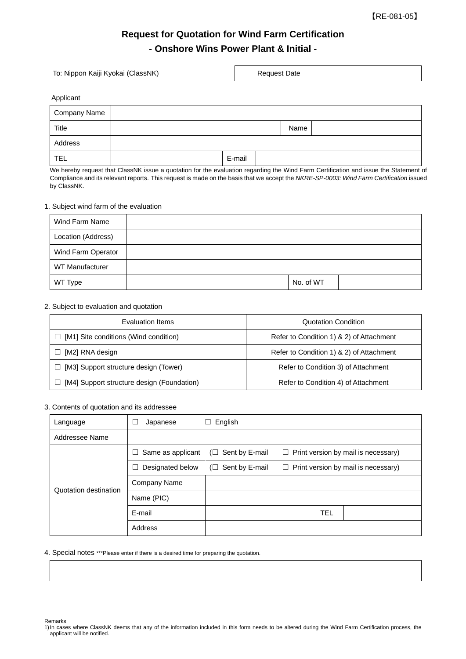【RE-081-05】

٦

# **Request for Quotation for Wind Farm Certification - Onshore Wins Power Plant & Initial -**

 $\mathbf{r}$ 

| To: Nippon Kaiji Kyokai (ClassNK) |  |        | <b>Request Date</b> |      |  |
|-----------------------------------|--|--------|---------------------|------|--|
| Applicant                         |  |        |                     |      |  |
| <b>Company Name</b>               |  |        |                     |      |  |
| Title                             |  |        |                     | Name |  |
| Address                           |  |        |                     |      |  |
| <b>TEL</b>                        |  | E-mail |                     |      |  |

We hereby request that ClassNK issue a quotation for the evaluation regarding the Wind Farm Certification and issue the Statement of Compliance and its relevant reports. This request is made on the basis that we accept the *NKRE-SP-0003: Wind Farm Certification* issued by ClassNK.

## 1. Subject wind farm of the evaluation

| Wind Farm Name         |           |  |
|------------------------|-----------|--|
| Location (Address)     |           |  |
| Wind Farm Operator     |           |  |
| <b>WT Manufacturer</b> |           |  |
| WT Type                | No. of WT |  |

## 2. Subject to evaluation and quotation

| Evaluation Items                                      | <b>Quotation Condition</b>               |  |
|-------------------------------------------------------|------------------------------------------|--|
| $\Box$ [M1] Site conditions (Wind condition)          | Refer to Condition 1) & 2) of Attachment |  |
| $\Box$ [M2] RNA design                                | Refer to Condition 1) & 2) of Attachment |  |
| [M3] Support structure design (Tower)<br>$\Box$       | Refer to Condition 3) of Attachment      |  |
| [M4] Support structure design (Foundation)<br>$\perp$ | Refer to Condition 4) of Attachment      |  |

## 3. Contents of quotation and its addressee

| Language              | Japanese                    | English                  |                                            |     |  |
|-----------------------|-----------------------------|--------------------------|--------------------------------------------|-----|--|
| Addressee Name        |                             |                          |                                            |     |  |
| Quotation destination | Same as applicant<br>$\Box$ | Sent by E-mail<br>$\Box$ | $\Box$ Print version by mail is necessary) |     |  |
|                       | Designated below            | $(\Box$ Sent by E-mail   | $\Box$ Print version by mail is necessary) |     |  |
|                       | Company Name                |                          |                                            |     |  |
|                       | Name (PIC)                  |                          |                                            |     |  |
|                       | E-mail                      |                          |                                            | TEL |  |
|                       | Address                     |                          |                                            |     |  |

#### 4. Special notes \*\*\*Please enter if there is a desired time for preparing the quotation.

Remarks

<sup>1)</sup>In cases where ClassNK deems that any of the information included in this form needs to be altered during the Wind Farm Certification process, the applicant will be notified.